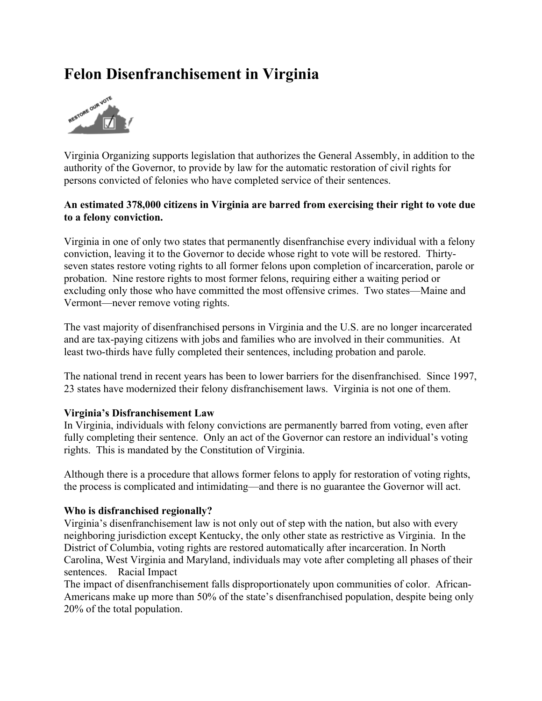# **Felon Disenfranchisement in Virginia**



Virginia Organizing supports legislation that authorizes the General Assembly, in addition to the authority of the Governor, to provide by law for the automatic restoration of civil rights for persons convicted of felonies who have completed service of their sentences.

## **An estimated 378,000 citizens in Virginia are barred from exercising their right to vote due to a felony conviction.**

Virginia in one of only two states that permanently disenfranchise every individual with a felony conviction, leaving it to the Governor to decide whose right to vote will be restored. Thirtyseven states restore voting rights to all former felons upon completion of incarceration, parole or probation. Nine restore rights to most former felons, requiring either a waiting period or excluding only those who have committed the most offensive crimes. Two states—Maine and Vermont—never remove voting rights.

The vast majority of disenfranchised persons in Virginia and the U.S. are no longer incarcerated and are tax-paying citizens with jobs and families who are involved in their communities. At least two-thirds have fully completed their sentences, including probation and parole.

The national trend in recent years has been to lower barriers for the disenfranchised. Since 1997, 23 states have modernized their felony disfranchisement laws. Virginia is not one of them.

## **Virginia's Disfranchisement Law**

In Virginia, individuals with felony convictions are permanently barred from voting, even after fully completing their sentence. Only an act of the Governor can restore an individual's voting rights. This is mandated by the Constitution of Virginia.

Although there is a procedure that allows former felons to apply for restoration of voting rights, the process is complicated and intimidating—and there is no guarantee the Governor will act.

#### **Who is disfranchised regionally?**

Virginia's disenfranchisement law is not only out of step with the nation, but also with every neighboring jurisdiction except Kentucky, the only other state as restrictive as Virginia. In the District of Columbia, voting rights are restored automatically after incarceration. In North Carolina, West Virginia and Maryland, individuals may vote after completing all phases of their sentences. Racial Impact

The impact of disenfranchisement falls disproportionately upon communities of color. African-Americans make up more than 50% of the state's disenfranchised population, despite being only 20% of the total population.